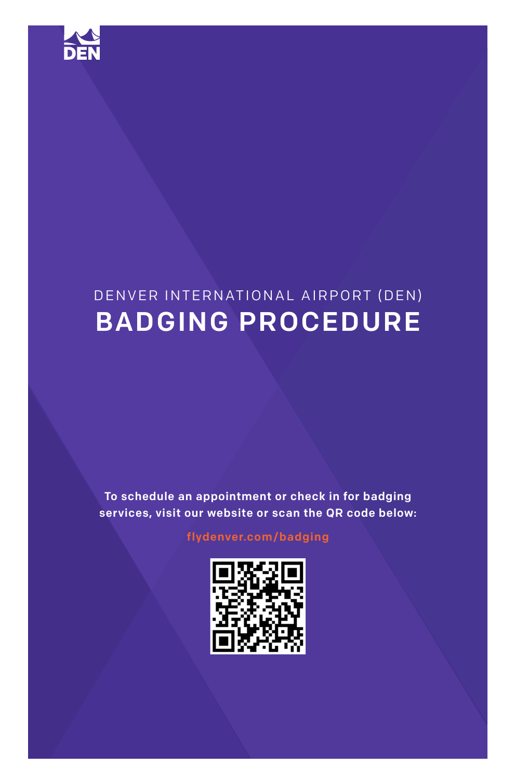

# DENVER INTERNATIONAL AIRPORT (DEN) BADGING PROCEDURE

To schedule an appointment or check in for badging services, visit our website or scan the QR code below:

[flydenver.com/badging](http://flydenver.com/badging)

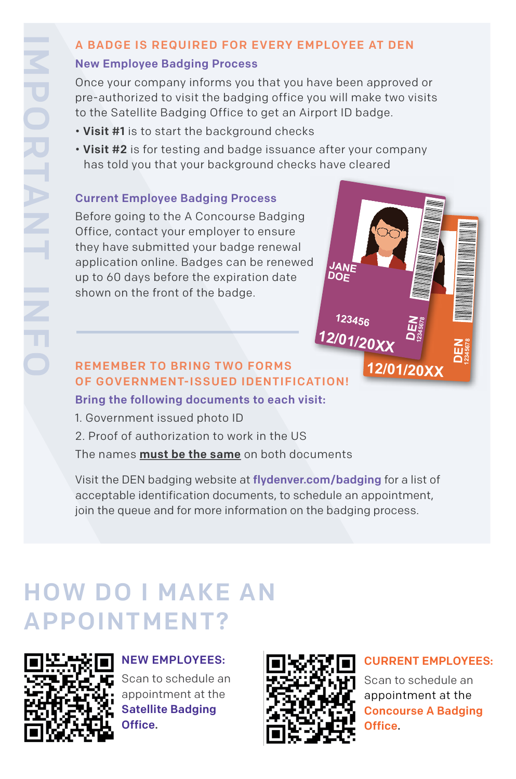#### A BADGE IS REQUIRED FOR EVERY EMPLOYEE AT DEN

#### New Employee Badging Process

Once your company informs you that you have been approved or pre-authorized to visit the badging office you will make two visits to the Satellite Badging Office to get an Airport ID badge.

- Visit #1 is to start the background checks
- Visit #2 is for testing and badge issuance after your company has told you that your background checks have cleared

#### Current Employee Badging Process

Before going to the A Concourse Badging Office, contact your employer to ensure they have submitted your badge renewal application online. Badges can be renewed up to 60 days before the expiration date shown on the front of the badge.



# REMEMBER TO BRING TWO FORMS OF GOVERNMENT-ISSUED IDENTIFICATION!

Bring the following documents to each visit:

- 1. Government issued photo ID
- 2. Proof of authorization to work in the US

The names **must be the same** on both documents

Visit the DEN badging website at [flydenver.com/badging](http://flydenver.com/badging) for a list of acceptable identification documents, to schedule an appointment, join the queue and for more information on the badging process.

# HOW DO I MAKE AN APPOINTMENT?

Office.



Scan to schedule an appointment at the Satellite Badging

NEW EMPLOYEES:



# CURRENT EMPLOYEES: Scan to schedule an appointment at the Concourse A Badging

Office.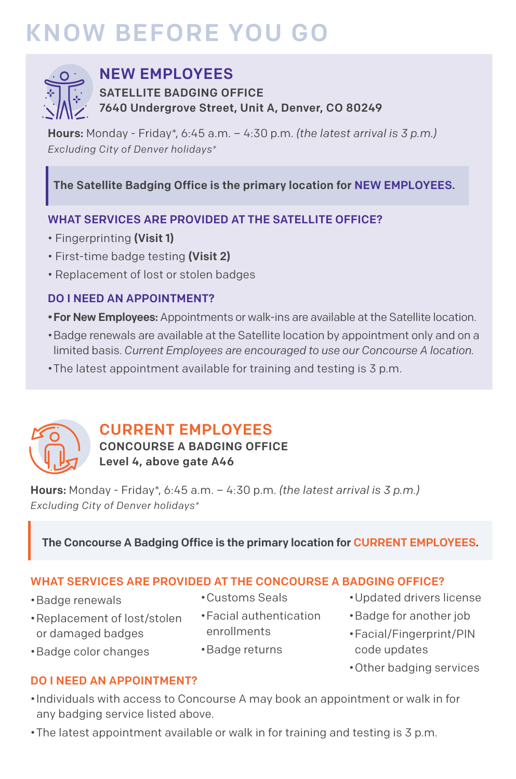# KNOW BEFORE YOU GO



# NEW EMPLOYEES

SATELLITE BADGING OFFICE 7640 Undergrove Street, Unit A, Denver, CO 80249

Hours: Monday - Friday\*, 6:45 a.m. – 4:30 p.m. *(the latest arrival is 3 p.m.) Excluding City of Denver holidays\**

# The Satellite Badging Office is the primary location for NEW EMPLOYEES.

# WHAT SERVICES ARE PROVIDED AT THE SATELLITE OFFICE?

- Fingerprinting (Visit 1)
- First-time badge testing (Visit 2)
- Replacement of lost or stolen badges

# DO I NEED AN APPOINTMENT?

- **For New Employees:** Appointments or walk-ins are available at the Satellite location.
- •Badge renewals are available at the Satellite location by appointment only and on a limited basis. *Current Employees are encouraged to use our Concourse A location.*
- •The latest appointment available for training and testing is 3 p.m.



# CURRENT EMPLOYEES

CONCOURSE A BADGING OFFICE Level 4, above gate A46

Hours: Monday - Friday\*, 6:45 a.m. – 4:30 p.m. *(the latest arrival is 3 p.m.) Excluding City of Denver holidays\**

# The Concourse A Badging Office is the primary location for CURRENT EMPLOYEES.

•Facial authentication

#### WHAT SERVICES ARE PROVIDED AT THE CONCOURSE A BADGING OFFICE? •Customs Seals

enrollments

- •Badge renewals
- •Replacement of lost/stolen or damaged badges
- •Badge color changes
- •Badge returns

#### DO I NEED AN APPOINTMENT?

- •Individuals with access to Concourse A may book an appointment or walk in for any badging service listed above.
- •The latest appointment available or walk in for training and testing is 3 p.m.

- •Updated drivers license
- •Badge for another job
- •Facial/Fingerprint/PIN code updates
- •Other badging services